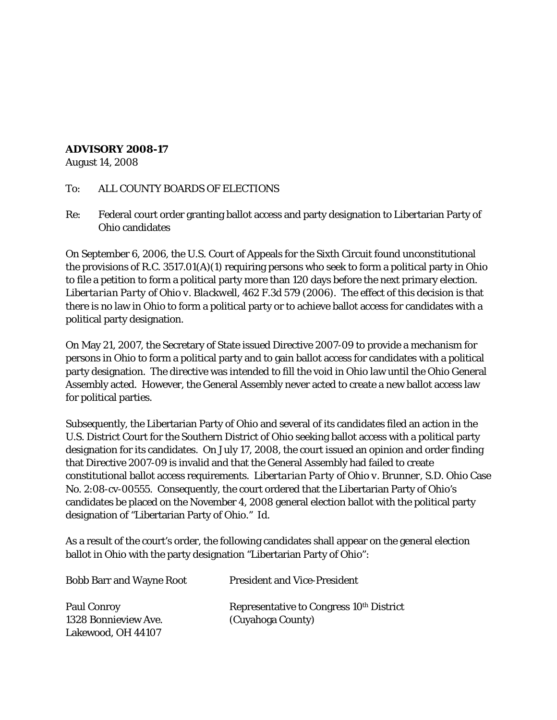## **ADVISORY 2008-17**

August 14, 2008

## To: ALL COUNTY BOARDS OF ELECTIONS

Re: Federal court order granting ballot access and party designation to Libertarian Party of Ohio candidates

On September 6, 2006, the U.S. Court of Appeals for the Sixth Circuit found unconstitutional the provisions of R.C. 3517.01(A)(1) requiring persons who seek to form a political party in Ohio to file a petition to form a political party more than 120 days before the next primary election. *Libertarian Party of Ohio v. Blackwell*, 462 F.3d 579 (2006). The effect of this decision is that there is no law in Ohio to form a political party or to achieve ballot access for candidates with a political party designation.

On May 21, 2007, the Secretary of State issued Directive 2007-09 to provide a mechanism for persons in Ohio to form a political party and to gain ballot access for candidates with a political party designation. The directive was intended to fill the void in Ohio law until the Ohio General Assembly acted. However, the General Assembly never acted to create a new ballot access law for political parties.

Subsequently, the Libertarian Party of Ohio and several of its candidates filed an action in the U.S. District Court for the Southern District of Ohio seeking ballot access with a political party designation for its candidates. On July 17, 2008, the court issued an opinion and order finding that Directive 2007-09 is invalid and that the General Assembly had failed to create constitutional ballot access requirements. *Libertarian Party of Ohio v. Brunner*, S.D. Ohio Case No. 2:08-cv-00555. Consequently, the court ordered that the Libertarian Party of Ohio's candidates be placed on the November 4, 2008 general election ballot with the political party designation of "Libertarian Party of Ohio." *Id*.

As a result of the court's order, the following candidates shall appear on the general election ballot in Ohio with the party designation "Libertarian Party of Ohio":

| <b>Bobb Barr and Wayne Root</b> | <b>President and Vice-President</b>                  |
|---------------------------------|------------------------------------------------------|
| <b>Paul Conroy</b>              | Representative to Congress 10 <sup>th</sup> District |
| 1328 Bonnieview Ave.            | (Cuyahoga County)                                    |
| Lakewood, OH 44107              |                                                      |